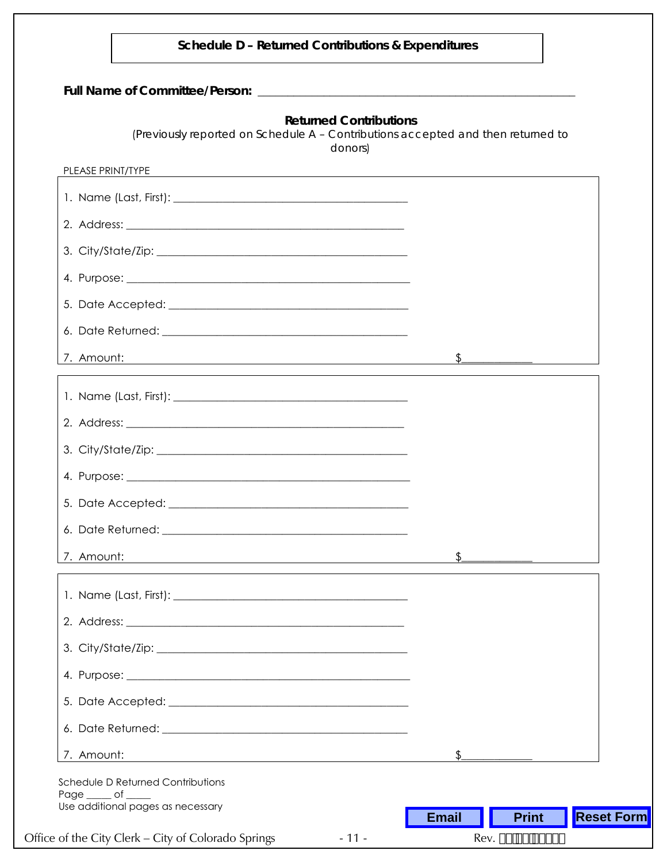| (Previously reported on Schedule A - Contributions accepted and then returned to | <b>Returned Contributions</b><br>donors) |               |
|----------------------------------------------------------------------------------|------------------------------------------|---------------|
| PLEASE PRINT/TYPE                                                                |                                          |               |
|                                                                                  |                                          |               |
|                                                                                  |                                          |               |
|                                                                                  |                                          |               |
|                                                                                  |                                          |               |
|                                                                                  |                                          |               |
|                                                                                  |                                          |               |
| 7. Amount:<br><u> 1980 - Johann Barn, fransk politik (d. 1980)</u>               |                                          |               |
|                                                                                  |                                          |               |
|                                                                                  |                                          |               |
|                                                                                  |                                          |               |
|                                                                                  |                                          |               |
|                                                                                  |                                          |               |
|                                                                                  |                                          |               |
| 7. Amount:                                                                       |                                          | $\frac{1}{2}$ |
|                                                                                  |                                          |               |
|                                                                                  |                                          |               |
|                                                                                  |                                          |               |
|                                                                                  |                                          |               |
|                                                                                  |                                          |               |
|                                                                                  |                                          |               |
|                                                                                  |                                          |               |
| 7. Amount:                                                                       | \$                                       |               |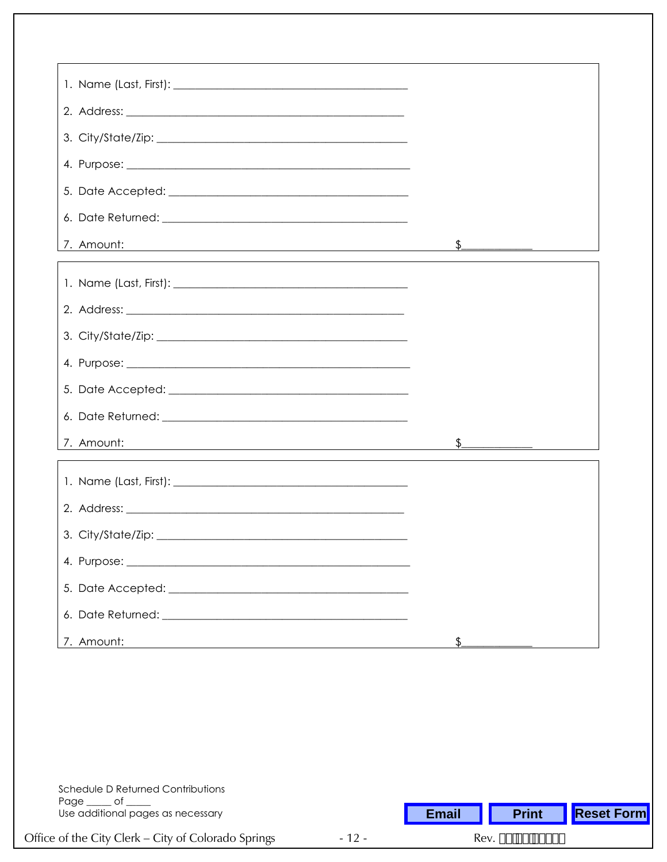| 7. Amount:<br><u> 1989 - Johann Stoff, deutscher Stoff, der Stoff, der Stoff, der Stoff, der Stoff, der Stoff, der Stoff, der S</u> | <u> The Common Seconds and Seconds and Seconds and Seconds and Seconds and Seconds and Seconds and Seconds and Seconds and Seconds and Seconds and Seconds and Seconds and Seconds and Seconds and Seconds and Seconds and Secon</u> |
|-------------------------------------------------------------------------------------------------------------------------------------|--------------------------------------------------------------------------------------------------------------------------------------------------------------------------------------------------------------------------------------|
|                                                                                                                                     |                                                                                                                                                                                                                                      |
|                                                                                                                                     |                                                                                                                                                                                                                                      |
|                                                                                                                                     |                                                                                                                                                                                                                                      |
|                                                                                                                                     |                                                                                                                                                                                                                                      |
|                                                                                                                                     |                                                                                                                                                                                                                                      |
|                                                                                                                                     |                                                                                                                                                                                                                                      |
| 7. Amount:<br><u> 1980 - Johann Barn, mars ann an t-Amhain Aonaichte ann an t-Aonaichte ann an t-Aonaichte ann an t-Aonaichte a</u> |                                                                                                                                                                                                                                      |
|                                                                                                                                     |                                                                                                                                                                                                                                      |
|                                                                                                                                     |                                                                                                                                                                                                                                      |
|                                                                                                                                     |                                                                                                                                                                                                                                      |
|                                                                                                                                     |                                                                                                                                                                                                                                      |
|                                                                                                                                     |                                                                                                                                                                                                                                      |
|                                                                                                                                     |                                                                                                                                                                                                                                      |
| 7. Amount:                                                                                                                          |                                                                                                                                                                                                                                      |

| Schedule D Returned Contributions<br>Page of<br>Use additional pages as necessary |        | <b>Email</b>        | <b>Print</b> | <b>Reset Form</b> |  |
|-----------------------------------------------------------------------------------|--------|---------------------|--------------|-------------------|--|
| Office of the City Clerk – City of Colorado Springs                               | $-12-$ | Rev. \$&\$\$, #&\$% |              |                   |  |
|                                                                                   |        |                     |              |                   |  |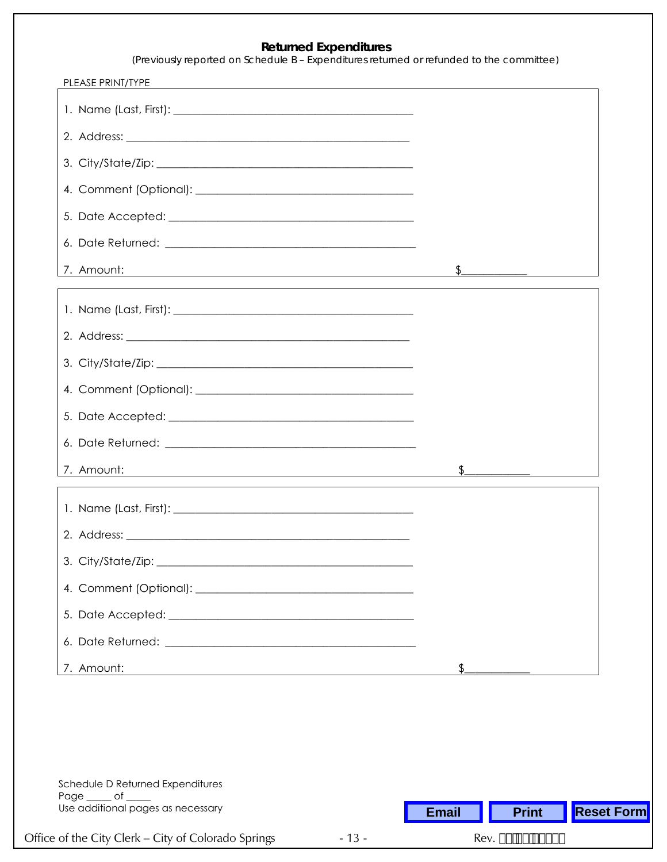## **Returned Expenditures**

*(Previously reported on Schedule B – Expenditures returned or refunded to the committee)*

| PLEASE PRINT/TYPE<br><u> 1989 - Johann Stoff, deutscher Stoffen und der Stoffen und der Stoffen und der Stoffen und der Stoffen und der</u> |                                                                                                                                                                                                                                                                                                                 |
|---------------------------------------------------------------------------------------------------------------------------------------------|-----------------------------------------------------------------------------------------------------------------------------------------------------------------------------------------------------------------------------------------------------------------------------------------------------------------|
|                                                                                                                                             |                                                                                                                                                                                                                                                                                                                 |
|                                                                                                                                             |                                                                                                                                                                                                                                                                                                                 |
|                                                                                                                                             |                                                                                                                                                                                                                                                                                                                 |
|                                                                                                                                             |                                                                                                                                                                                                                                                                                                                 |
|                                                                                                                                             |                                                                                                                                                                                                                                                                                                                 |
|                                                                                                                                             |                                                                                                                                                                                                                                                                                                                 |
| 7. Amount:                                                                                                                                  |                                                                                                                                                                                                                                                                                                                 |
|                                                                                                                                             |                                                                                                                                                                                                                                                                                                                 |
|                                                                                                                                             |                                                                                                                                                                                                                                                                                                                 |
|                                                                                                                                             |                                                                                                                                                                                                                                                                                                                 |
|                                                                                                                                             |                                                                                                                                                                                                                                                                                                                 |
|                                                                                                                                             |                                                                                                                                                                                                                                                                                                                 |
|                                                                                                                                             |                                                                                                                                                                                                                                                                                                                 |
| 7. Amount:<br><u> 1989 - Johann Stoff, deutscher Stoffen und der Stoffen und der Stoffen und der Stoffen und der Stoffen und der</u>        | $\mathfrak{L}$<br>$\frac{1}{2}$ and $\frac{1}{2}$ and $\frac{1}{2}$ and $\frac{1}{2}$ and $\frac{1}{2}$ and $\frac{1}{2}$ and $\frac{1}{2}$ and $\frac{1}{2}$ and $\frac{1}{2}$ and $\frac{1}{2}$ and $\frac{1}{2}$ and $\frac{1}{2}$ and $\frac{1}{2}$ and $\frac{1}{2}$ and $\frac{1}{2}$ and $\frac{1}{2}$ a |
|                                                                                                                                             |                                                                                                                                                                                                                                                                                                                 |
|                                                                                                                                             |                                                                                                                                                                                                                                                                                                                 |
|                                                                                                                                             |                                                                                                                                                                                                                                                                                                                 |
|                                                                                                                                             |                                                                                                                                                                                                                                                                                                                 |
|                                                                                                                                             |                                                                                                                                                                                                                                                                                                                 |
|                                                                                                                                             |                                                                                                                                                                                                                                                                                                                 |
| 7. Amount:                                                                                                                                  |                                                                                                                                                                                                                                                                                                                 |

| Schedule D Returned Expenditures<br>Page<br><b>of</b><br>Use additional pages as necessary |        | <b>Email</b>                                 | <b>Print</b> | <b>Reset Form</b> |  |
|--------------------------------------------------------------------------------------------|--------|----------------------------------------------|--------------|-------------------|--|
| Office of the City Clerk – City of Colorado Springs                                        | $-13-$ | Rev. \$&#\$, #&\$%</td></tr></tbody></table> |              |                   |  |